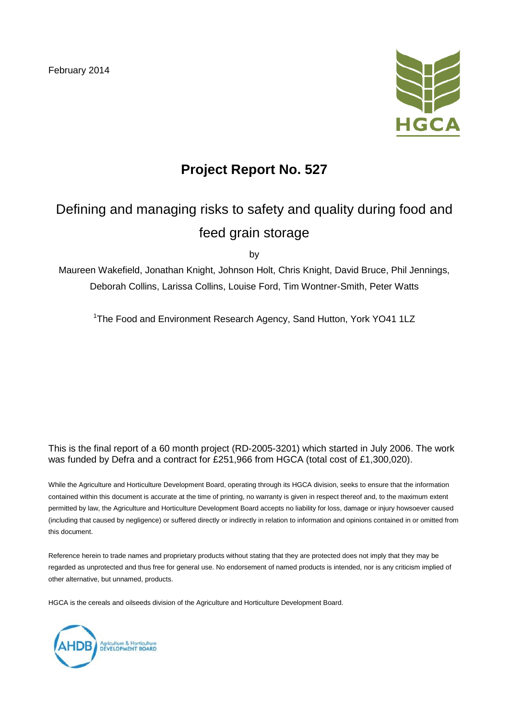February 2014



### **Project Report No. 527**

# Defining and managing risks to safety and quality during food and feed grain storage

by

Maureen Wakefield, Jonathan Knight, Johnson Holt, Chris Knight, David Bruce, Phil Jennings, Deborah Collins, Larissa Collins, Louise Ford, Tim Wontner-Smith, Peter Watts

<sup>1</sup>The Food and Environment Research Agency, Sand Hutton, York YO41 1LZ

This is the final report of a 60 month project (RD-2005-3201) which started in July 2006. The work was funded by Defra and a contract for £251,966 from HGCA (total cost of £1,300,020).

While the Agriculture and Horticulture Development Board, operating through its HGCA division, seeks to ensure that the information contained within this document is accurate at the time of printing, no warranty is given in respect thereof and, to the maximum extent permitted by law, the Agriculture and Horticulture Development Board accepts no liability for loss, damage or injury howsoever caused (including that caused by negligence) or suffered directly or indirectly in relation to information and opinions contained in or omitted from this document.

Reference herein to trade names and proprietary products without stating that they are protected does not imply that they may be regarded as unprotected and thus free for general use. No endorsement of named products is intended, nor is any criticism implied of other alternative, but unnamed, products.

HGCA is the cereals and oilseeds division of the Agriculture and Horticulture Development Board.

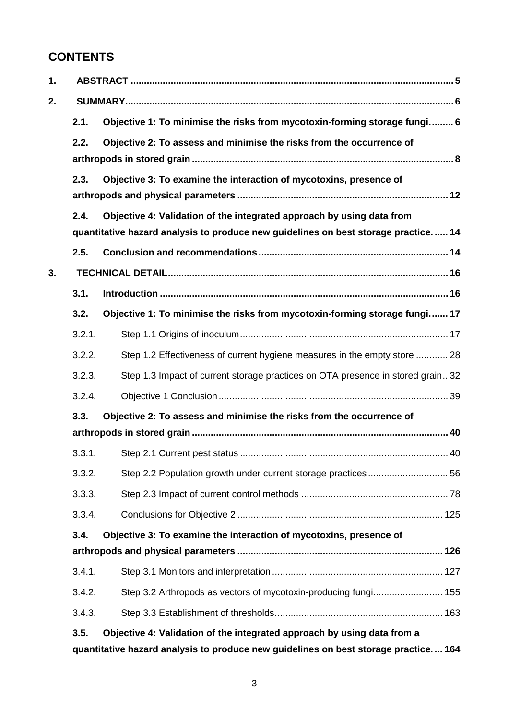#### **CONTENTS**

| 1. |        |                                                                                     |  |  |
|----|--------|-------------------------------------------------------------------------------------|--|--|
| 2. |        |                                                                                     |  |  |
|    | 2.1.   | Objective 1: To minimise the risks from mycotoxin-forming storage fungi 6           |  |  |
|    | 2.2.   | Objective 2: To assess and minimise the risks from the occurrence of                |  |  |
|    |        |                                                                                     |  |  |
|    | 2.3.   | Objective 3: To examine the interaction of mycotoxins, presence of                  |  |  |
|    |        |                                                                                     |  |  |
|    | 2.4.   | Objective 4: Validation of the integrated approach by using data from               |  |  |
|    |        | quantitative hazard analysis to produce new guidelines on best storage practice 14  |  |  |
|    | 2.5.   |                                                                                     |  |  |
| 3. |        |                                                                                     |  |  |
|    | 3.1.   |                                                                                     |  |  |
|    | 3.2.   | Objective 1: To minimise the risks from mycotoxin-forming storage fungi 17          |  |  |
|    | 3.2.1. |                                                                                     |  |  |
|    | 3.2.2. | Step 1.2 Effectiveness of current hygiene measures in the empty store  28           |  |  |
|    | 3.2.3. | Step 1.3 Impact of current storage practices on OTA presence in stored grain32      |  |  |
|    | 3.2.4. |                                                                                     |  |  |
|    | 3.3.   | Objective 2: To assess and minimise the risks from the occurrence of                |  |  |
|    |        |                                                                                     |  |  |
|    | 3.3.1. |                                                                                     |  |  |
|    | 3.3.2. |                                                                                     |  |  |
|    | 3.3.3. |                                                                                     |  |  |
|    | 3.3.4. |                                                                                     |  |  |
|    | 3.4.   | Objective 3: To examine the interaction of mycotoxins, presence of                  |  |  |
|    |        |                                                                                     |  |  |
|    | 3.4.1. |                                                                                     |  |  |
|    | 3.4.2. | Step 3.2 Arthropods as vectors of mycotoxin-producing fungi 155                     |  |  |
|    | 3.4.3. |                                                                                     |  |  |
|    | 3.5.   | Objective 4: Validation of the integrated approach by using data from a             |  |  |
|    |        | quantitative hazard analysis to produce new guidelines on best storage practice 164 |  |  |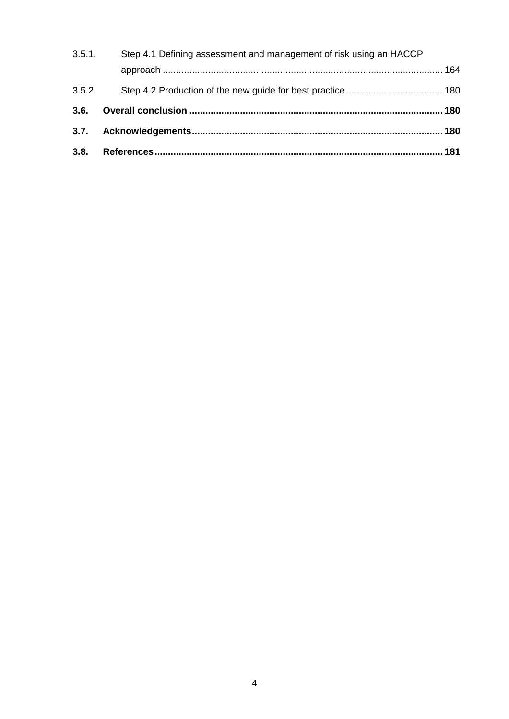| 3.5.1. | Step 4.1 Defining assessment and management of risk using an HACCP |  |
|--------|--------------------------------------------------------------------|--|
|        |                                                                    |  |
| 3.5.2. |                                                                    |  |
|        |                                                                    |  |
|        |                                                                    |  |
|        |                                                                    |  |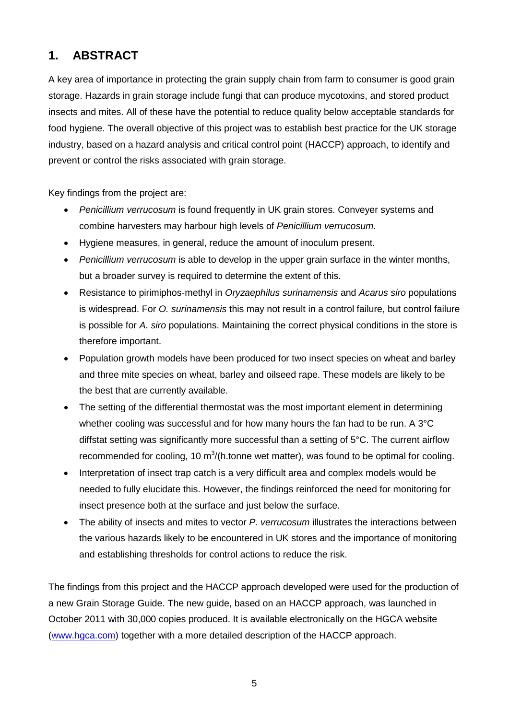#### **1. ABSTRACT**

A key area of importance in protecting the grain supply chain from farm to consumer is good grain storage. Hazards in grain storage include fungi that can produce mycotoxins, and stored product insects and mites. All of these have the potential to reduce quality below acceptable standards for food hygiene. The overall objective of this project was to establish best practice for the UK storage industry, based on a hazard analysis and critical control point (HACCP) approach, to identify and prevent or control the risks associated with grain storage.

Key findings from the project are:

- *Penicillium verrucosum* is found frequently in UK grain stores. Conveyer systems and combine harvesters may harbour high levels of *Penicillium verrucosum.*
- Hygiene measures, in general, reduce the amount of inoculum present.
- *Penicillium verrucosum* is able to develop in the upper grain surface in the winter months, but a broader survey is required to determine the extent of this.
- Resistance to pirimiphos-methyl in *Oryzaephilus surinamensis* and *Acarus siro* populations is widespread. For *O. surinamensis* this may not result in a control failure, but control failure is possible for *A. siro* populations. Maintaining the correct physical conditions in the store is therefore important.
- Population growth models have been produced for two insect species on wheat and barley and three mite species on wheat, barley and oilseed rape. These models are likely to be the best that are currently available.
- The setting of the differential thermostat was the most important element in determining whether cooling was successful and for how many hours the fan had to be run. A 3°C diffstat setting was significantly more successful than a setting of 5°C. The current airflow recommended for cooling, 10  $m^3$ /(h.tonne wet matter), was found to be optimal for cooling.
- Interpretation of insect trap catch is a very difficult area and complex models would be needed to fully elucidate this. However, the findings reinforced the need for monitoring for insect presence both at the surface and just below the surface.
- The ability of insects and mites to vector *P. verrucosum* illustrates the interactions between the various hazards likely to be encountered in UK stores and the importance of monitoring and establishing thresholds for control actions to reduce the risk.

The findings from this project and the HACCP approach developed were used for the production of a new Grain Storage Guide. The new guide, based on an HACCP approach, was launched in October 2011 with 30,000 copies produced. It is available electronically on the HGCA website [\(www.hgca.com\)](http://www.hgca.com/) together with a more detailed description of the HACCP approach.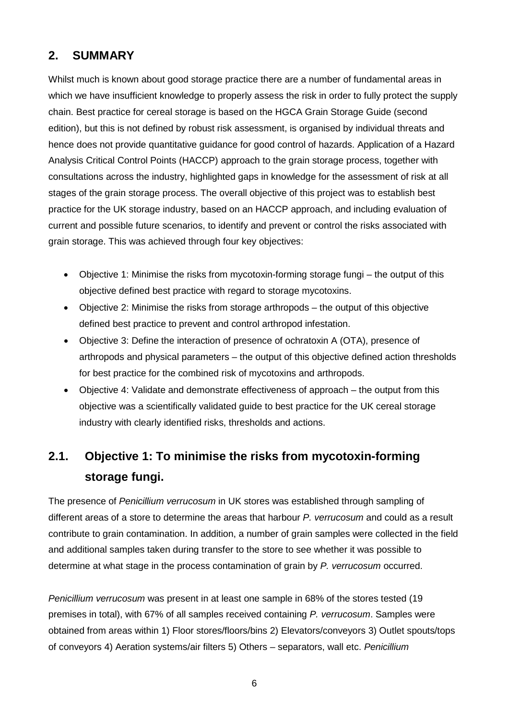#### **2. SUMMARY**

Whilst much is known about good storage practice there are a number of fundamental areas in which we have insufficient knowledge to properly assess the risk in order to fully protect the supply chain. Best practice for cereal storage is based on the HGCA Grain Storage Guide (second edition), but this is not defined by robust risk assessment, is organised by individual threats and hence does not provide quantitative guidance for good control of hazards. Application of a Hazard Analysis Critical Control Points (HACCP) approach to the grain storage process, together with consultations across the industry, highlighted gaps in knowledge for the assessment of risk at all stages of the grain storage process. The overall objective of this project was to establish best practice for the UK storage industry, based on an HACCP approach, and including evaluation of current and possible future scenarios, to identify and prevent or control the risks associated with grain storage. This was achieved through four key objectives:

- Objective 1: Minimise the risks from mycotoxin-forming storage fungi the output of this objective defined best practice with regard to storage mycotoxins.
- Objective 2: Minimise the risks from storage arthropods the output of this objective defined best practice to prevent and control arthropod infestation.
- Objective 3: Define the interaction of presence of ochratoxin A (OTA), presence of arthropods and physical parameters – the output of this objective defined action thresholds for best practice for the combined risk of mycotoxins and arthropods.
- Objective 4: Validate and demonstrate effectiveness of approach the output from this objective was a scientifically validated guide to best practice for the UK cereal storage industry with clearly identified risks, thresholds and actions.

### **2.1. Objective 1: To minimise the risks from mycotoxin-forming storage fungi.**

The presence of *Penicillium verrucosum* in UK stores was established through sampling of different areas of a store to determine the areas that harbour *P. verrucosum* and could as a result contribute to grain contamination. In addition, a number of grain samples were collected in the field and additional samples taken during transfer to the store to see whether it was possible to determine at what stage in the process contamination of grain by *P. verrucosum* occurred.

*Penicillium verrucosum* was present in at least one sample in 68% of the stores tested (19 premises in total), with 67% of all samples received containing *P. verrucosum*. Samples were obtained from areas within 1) Floor stores/floors/bins 2) Elevators/conveyors 3) Outlet spouts/tops of conveyors 4) Aeration systems/air filters 5) Others – separators, wall etc. *Penicillium*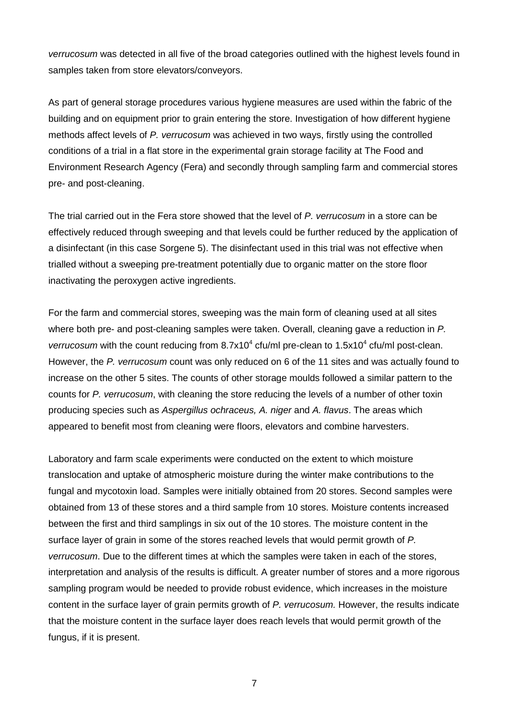*verrucosum* was detected in all five of the broad categories outlined with the highest levels found in samples taken from store elevators/conveyors.

As part of general storage procedures various hygiene measures are used within the fabric of the building and on equipment prior to grain entering the store. Investigation of how different hygiene methods affect levels of *P. verrucosum* was achieved in two ways, firstly using the controlled conditions of a trial in a flat store in the experimental grain storage facility at The Food and Environment Research Agency (Fera) and secondly through sampling farm and commercial stores pre- and post-cleaning.

The trial carried out in the Fera store showed that the level of *P. verrucosum* in a store can be effectively reduced through sweeping and that levels could be further reduced by the application of a disinfectant (in this case Sorgene 5). The disinfectant used in this trial was not effective when trialled without a sweeping pre-treatment potentially due to organic matter on the store floor inactivating the peroxygen active ingredients.

For the farm and commercial stores, sweeping was the main form of cleaning used at all sites where both pre- and post-cleaning samples were taken. Overall, cleaning gave a reduction in *P. verrucosum* with the count reducing from 8.7x10<sup>4</sup> cfu/ml pre-clean to 1.5x10<sup>4</sup> cfu/ml post-clean. However, the *P. verrucosum* count was only reduced on 6 of the 11 sites and was actually found to increase on the other 5 sites. The counts of other storage moulds followed a similar pattern to the counts for *P. verrucosum*, with cleaning the store reducing the levels of a number of other toxin producing species such as *Aspergillus ochraceus, A. niger* and *A. flavus*. The areas which appeared to benefit most from cleaning were floors, elevators and combine harvesters.

Laboratory and farm scale experiments were conducted on the extent to which moisture translocation and uptake of atmospheric moisture during the winter make contributions to the fungal and mycotoxin load. Samples were initially obtained from 20 stores. Second samples were obtained from 13 of these stores and a third sample from 10 stores. Moisture contents increased between the first and third samplings in six out of the 10 stores. The moisture content in the surface layer of grain in some of the stores reached levels that would permit growth of *P. verrucosum*. Due to the different times at which the samples were taken in each of the stores, interpretation and analysis of the results is difficult. A greater number of stores and a more rigorous sampling program would be needed to provide robust evidence, which increases in the moisture content in the surface layer of grain permits growth of *P. verrucosum.* However, the results indicate that the moisture content in the surface layer does reach levels that would permit growth of the fungus, if it is present.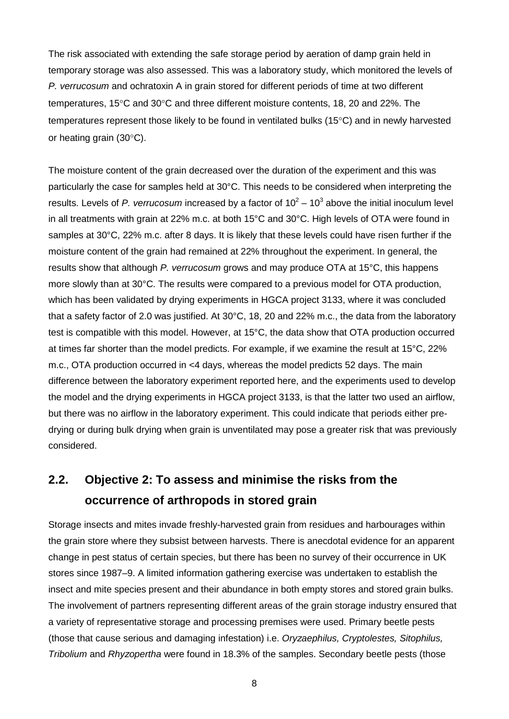The risk associated with extending the safe storage period by aeration of damp grain held in temporary storage was also assessed. This was a laboratory study, which monitored the levels of *P. verrucosum* and ochratoxin A in grain stored for different periods of time at two different temperatures, 15°C and 30°C and three different moisture contents, 18, 20 and 22%. The temperatures represent those likely to be found in ventilated bulks (15°C) and in newly harvested or heating grain (30°C).

The moisture content of the grain decreased over the duration of the experiment and this was particularly the case for samples held at 30°C. This needs to be considered when interpreting the results. Levels of P. verrucosum increased by a factor of  $10^2 - 10^3$  above the initial inoculum level in all treatments with grain at 22% m.c. at both 15°C and 30°C. High levels of OTA were found in samples at 30°C, 22% m.c. after 8 days. It is likely that these levels could have risen further if the moisture content of the grain had remained at 22% throughout the experiment. In general, the results show that although *P. verrucosum* grows and may produce OTA at 15°C, this happens more slowly than at 30°C. The results were compared to a previous model for OTA production, which has been validated by drying experiments in HGCA project 3133, where it was concluded that a safety factor of 2.0 was justified. At 30°C, 18, 20 and 22% m.c., the data from the laboratory test is compatible with this model. However, at 15°C, the data show that OTA production occurred at times far shorter than the model predicts. For example, if we examine the result at 15°C, 22% m.c., OTA production occurred in <4 days, whereas the model predicts 52 days. The main difference between the laboratory experiment reported here, and the experiments used to develop the model and the drying experiments in HGCA project 3133, is that the latter two used an airflow, but there was no airflow in the laboratory experiment. This could indicate that periods either predrying or during bulk drying when grain is unventilated may pose a greater risk that was previously considered.

#### **2.2. Objective 2: To assess and minimise the risks from the occurrence of arthropods in stored grain**

Storage insects and mites invade freshly-harvested grain from residues and harbourages within the grain store where they subsist between harvests. There is anecdotal evidence for an apparent change in pest status of certain species, but there has been no survey of their occurrence in UK stores since 1987–9. A limited information gathering exercise was undertaken to establish the insect and mite species present and their abundance in both empty stores and stored grain bulks. The involvement of partners representing different areas of the grain storage industry ensured that a variety of representative storage and processing premises were used. Primary beetle pests (those that cause serious and damaging infestation) i.e. *Oryzaephilus, Cryptolestes, Sitophilus, Tribolium* and *Rhyzopertha* were found in 18.3% of the samples. Secondary beetle pests (those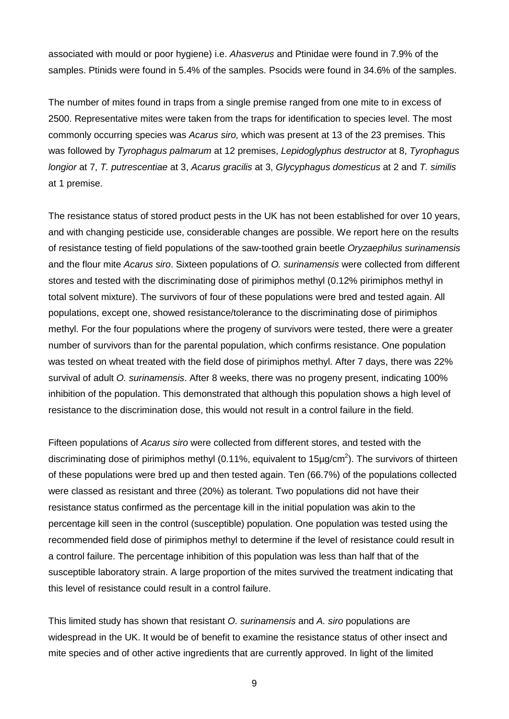associated with mould or poor hygiene) i.e. *Ahasverus* and Ptinidae were found in 7.9% of the samples. Ptinids were found in 5.4% of the samples. Psocids were found in 34.6% of the samples.

The number of mites found in traps from a single premise ranged from one mite to in excess of 2500. Representative mites were taken from the traps for identification to species level. The most commonly occurring species was *Acarus siro,* which was present at 13 of the 23 premises. This was followed by *Tyrophagus palmarum* at 12 premises, *Lepidoglyphus destructor* at 8, *Tyrophagus longior* at 7, *T. putrescentiae* at 3, *Acarus gracilis* at 3, *Glycyphagus domesticus* at 2 and *T. similis*  at 1 premise.

The resistance status of stored product pests in the UK has not been established for over 10 years, and with changing pesticide use, considerable changes are possible. We report here on the results of resistance testing of field populations of the saw-toothed grain beetle *Oryzaephilus surinamensis*  and the flour mite *Acarus siro*. Sixteen populations of *O. surinamensis* were collected from different stores and tested with the discriminating dose of pirimiphos methyl (0.12% pirimiphos methyl in total solvent mixture). The survivors of four of these populations were bred and tested again. All populations, except one, showed resistance/tolerance to the discriminating dose of pirimiphos methyl. For the four populations where the progeny of survivors were tested, there were a greater number of survivors than for the parental population, which confirms resistance. One population was tested on wheat treated with the field dose of pirimiphos methyl. After 7 days, there was 22% survival of adult *O. surinamensis*. After 8 weeks, there was no progeny present, indicating 100% inhibition of the population. This demonstrated that although this population shows a high level of resistance to the discrimination dose, this would not result in a control failure in the field.

Fifteen populations of *Acarus siro* were collected from different stores, and tested with the discriminating dose of pirimiphos methyl (0.11%, equivalent to 15 $\mu$ g/cm<sup>2</sup>). The survivors of thirteen of these populations were bred up and then tested again. Ten (66.7%) of the populations collected were classed as resistant and three (20%) as tolerant. Two populations did not have their resistance status confirmed as the percentage kill in the initial population was akin to the percentage kill seen in the control (susceptible) population. One population was tested using the recommended field dose of pirimiphos methyl to determine if the level of resistance could result in a control failure. The percentage inhibition of this population was less than half that of the susceptible laboratory strain. A large proportion of the mites survived the treatment indicating that this level of resistance could result in a control failure.

This limited study has shown that resistant *O. surinamensis* and *A. siro* populations are widespread in the UK. It would be of benefit to examine the resistance status of other insect and mite species and of other active ingredients that are currently approved. In light of the limited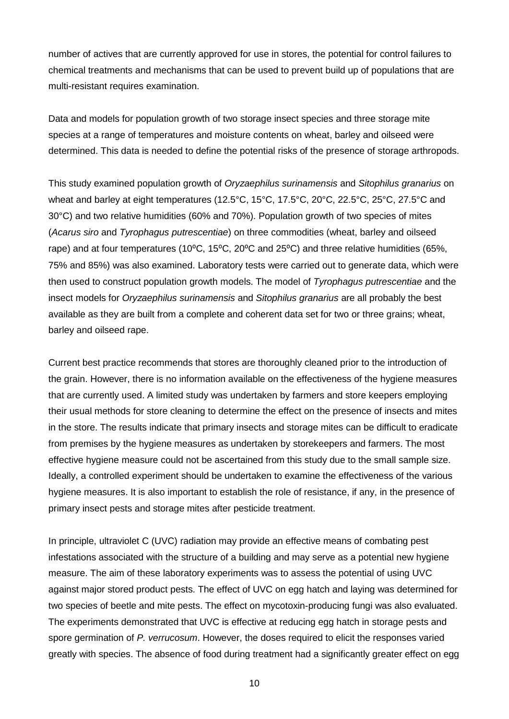number of actives that are currently approved for use in stores, the potential for control failures to chemical treatments and mechanisms that can be used to prevent build up of populations that are multi-resistant requires examination.

Data and models for population growth of two storage insect species and three storage mite species at a range of temperatures and moisture contents on wheat, barley and oilseed were determined. This data is needed to define the potential risks of the presence of storage arthropods.

This study examined population growth of *Oryzaephilus surinamensis* and *Sitophilus granarius* on wheat and barley at eight temperatures (12.5°C, 15°C, 17.5°C, 20°C, 22.5°C, 25°C, 27.5°C and 30°C) and two relative humidities (60% and 70%). Population growth of two species of mites (*Acarus siro* and *Tyrophagus putrescentiae*) on three commodities (wheat, barley and oilseed rape) and at four temperatures (10°C, 15°C, 20°C and 25°C) and three relative humidities (65%, 75% and 85%) was also examined. Laboratory tests were carried out to generate data, which were then used to construct population growth models. The model of *Tyrophagus putrescentiae* and the insect models for *Oryzaephilus surinamensis* and *Sitophilus granarius* are all probably the best available as they are built from a complete and coherent data set for two or three grains; wheat, barley and oilseed rape.

Current best practice recommends that stores are thoroughly cleaned prior to the introduction of the grain. However, there is no information available on the effectiveness of the hygiene measures that are currently used. A limited study was undertaken by farmers and store keepers employing their usual methods for store cleaning to determine the effect on the presence of insects and mites in the store. The results indicate that primary insects and storage mites can be difficult to eradicate from premises by the hygiene measures as undertaken by storekeepers and farmers. The most effective hygiene measure could not be ascertained from this study due to the small sample size. Ideally, a controlled experiment should be undertaken to examine the effectiveness of the various hygiene measures. It is also important to establish the role of resistance, if any, in the presence of primary insect pests and storage mites after pesticide treatment.

In principle, ultraviolet C (UVC) radiation may provide an effective means of combating pest infestations associated with the structure of a building and may serve as a potential new hygiene measure. The aim of these laboratory experiments was to assess the potential of using UVC against major stored product pests. The effect of UVC on egg hatch and laying was determined for two species of beetle and mite pests. The effect on mycotoxin-producing fungi was also evaluated. The experiments demonstrated that UVC is effective at reducing egg hatch in storage pests and spore germination of *P. verrucosum*. However, the doses required to elicit the responses varied greatly with species. The absence of food during treatment had a significantly greater effect on egg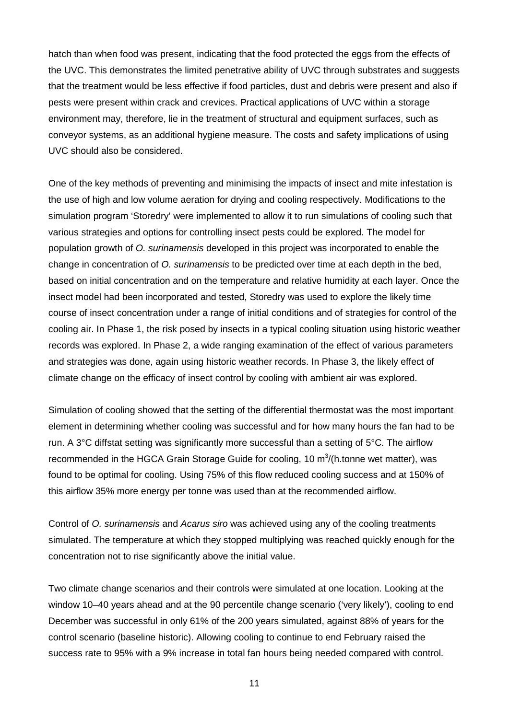hatch than when food was present, indicating that the food protected the eggs from the effects of the UVC. This demonstrates the limited penetrative ability of UVC through substrates and suggests that the treatment would be less effective if food particles, dust and debris were present and also if pests were present within crack and crevices. Practical applications of UVC within a storage environment may, therefore, lie in the treatment of structural and equipment surfaces, such as conveyor systems, as an additional hygiene measure. The costs and safety implications of using UVC should also be considered.

One of the key methods of preventing and minimising the impacts of insect and mite infestation is the use of high and low volume aeration for drying and cooling respectively. Modifications to the simulation program 'Storedry' were implemented to allow it to run simulations of cooling such that various strategies and options for controlling insect pests could be explored. The model for population growth of *O. surinamensis* developed in this project was incorporated to enable the change in concentration of *O. surinamensis* to be predicted over time at each depth in the bed, based on initial concentration and on the temperature and relative humidity at each layer. Once the insect model had been incorporated and tested, Storedry was used to explore the likely time course of insect concentration under a range of initial conditions and of strategies for control of the cooling air. In Phase 1, the risk posed by insects in a typical cooling situation using historic weather records was explored. In Phase 2, a wide ranging examination of the effect of various parameters and strategies was done, again using historic weather records. In Phase 3, the likely effect of climate change on the efficacy of insect control by cooling with ambient air was explored.

Simulation of cooling showed that the setting of the differential thermostat was the most important element in determining whether cooling was successful and for how many hours the fan had to be run. A 3°C diffstat setting was significantly more successful than a setting of 5°C. The airflow recommended in the HGCA Grain Storage Guide for cooling, 10 m<sup>3</sup>/(h.tonne wet matter), was found to be optimal for cooling. Using 75% of this flow reduced cooling success and at 150% of this airflow 35% more energy per tonne was used than at the recommended airflow.

Control of *O. surinamensis* and *Acarus siro* was achieved using any of the cooling treatments simulated. The temperature at which they stopped multiplying was reached quickly enough for the concentration not to rise significantly above the initial value.

Two climate change scenarios and their controls were simulated at one location. Looking at the window 10–40 years ahead and at the 90 percentile change scenario ('very likely'), cooling to end December was successful in only 61% of the 200 years simulated, against 88% of years for the control scenario (baseline historic). Allowing cooling to continue to end February raised the success rate to 95% with a 9% increase in total fan hours being needed compared with control.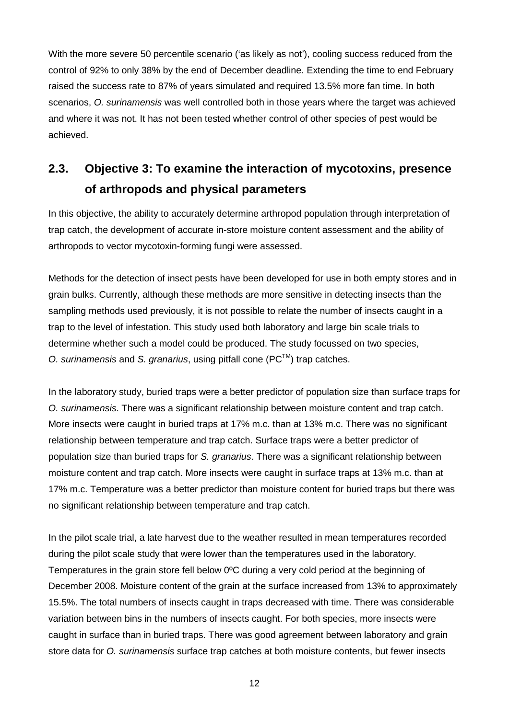With the more severe 50 percentile scenario ('as likely as not'), cooling success reduced from the control of 92% to only 38% by the end of December deadline. Extending the time to end February raised the success rate to 87% of years simulated and required 13.5% more fan time. In both scenarios, *O. surinamensis* was well controlled both in those years where the target was achieved and where it was not. It has not been tested whether control of other species of pest would be achieved.

### **2.3. Objective 3: To examine the interaction of mycotoxins, presence of arthropods and physical parameters**

In this objective, the ability to accurately determine arthropod population through interpretation of trap catch, the development of accurate in-store moisture content assessment and the ability of arthropods to vector mycotoxin-forming fungi were assessed.

Methods for the detection of insect pests have been developed for use in both empty stores and in grain bulks. Currently, although these methods are more sensitive in detecting insects than the sampling methods used previously, it is not possible to relate the number of insects caught in a trap to the level of infestation. This study used both laboratory and large bin scale trials to determine whether such a model could be produced. The study focussed on two species, *O. surinamensis* and *S. granarius*, using pitfall cone (PC™) trap catches.

In the laboratory study, buried traps were a better predictor of population size than surface traps for *O. surinamensis*. There was a significant relationship between moisture content and trap catch. More insects were caught in buried traps at 17% m.c. than at 13% m.c. There was no significant relationship between temperature and trap catch. Surface traps were a better predictor of population size than buried traps for *S. granarius*. There was a significant relationship between moisture content and trap catch. More insects were caught in surface traps at 13% m.c. than at 17% m.c. Temperature was a better predictor than moisture content for buried traps but there was no significant relationship between temperature and trap catch.

In the pilot scale trial, a late harvest due to the weather resulted in mean temperatures recorded during the pilot scale study that were lower than the temperatures used in the laboratory. Temperatures in the grain store fell below 0ºC during a very cold period at the beginning of December 2008. Moisture content of the grain at the surface increased from 13% to approximately 15.5%. The total numbers of insects caught in traps decreased with time. There was considerable variation between bins in the numbers of insects caught. For both species, more insects were caught in surface than in buried traps. There was good agreement between laboratory and grain store data for *O. surinamensis* surface trap catches at both moisture contents, but fewer insects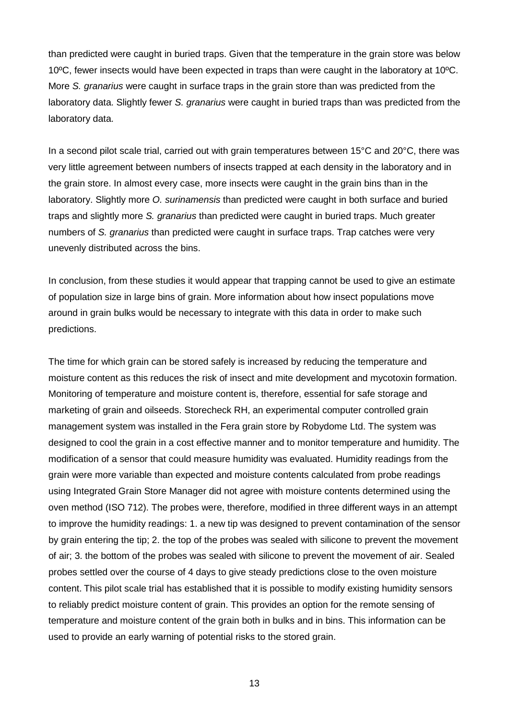than predicted were caught in buried traps. Given that the temperature in the grain store was below 10ºC, fewer insects would have been expected in traps than were caught in the laboratory at 10ºC. More *S. granarius* were caught in surface traps in the grain store than was predicted from the laboratory data. Slightly fewer *S. granarius* were caught in buried traps than was predicted from the laboratory data.

In a second pilot scale trial, carried out with grain temperatures between 15°C and 20°C, there was very little agreement between numbers of insects trapped at each density in the laboratory and in the grain store. In almost every case, more insects were caught in the grain bins than in the laboratory. Slightly more *O. surinamensis* than predicted were caught in both surface and buried traps and slightly more *S. granarius* than predicted were caught in buried traps. Much greater numbers of *S. granarius* than predicted were caught in surface traps. Trap catches were very unevenly distributed across the bins.

In conclusion, from these studies it would appear that trapping cannot be used to give an estimate of population size in large bins of grain. More information about how insect populations move around in grain bulks would be necessary to integrate with this data in order to make such predictions.

The time for which grain can be stored safely is increased by reducing the temperature and moisture content as this reduces the risk of insect and mite development and mycotoxin formation. Monitoring of temperature and moisture content is, therefore, essential for safe storage and marketing of grain and oilseeds. Storecheck RH, an experimental computer controlled grain management system was installed in the Fera grain store by Robydome Ltd. The system was designed to cool the grain in a cost effective manner and to monitor temperature and humidity. The modification of a sensor that could measure humidity was evaluated. Humidity readings from the grain were more variable than expected and moisture contents calculated from probe readings using Integrated Grain Store Manager did not agree with moisture contents determined using the oven method (ISO 712). The probes were, therefore, modified in three different ways in an attempt to improve the humidity readings: 1. a new tip was designed to prevent contamination of the sensor by grain entering the tip; 2. the top of the probes was sealed with silicone to prevent the movement of air; 3. the bottom of the probes was sealed with silicone to prevent the movement of air. Sealed probes settled over the course of 4 days to give steady predictions close to the oven moisture content. This pilot scale trial has established that it is possible to modify existing humidity sensors to reliably predict moisture content of grain. This provides an option for the remote sensing of temperature and moisture content of the grain both in bulks and in bins. This information can be used to provide an early warning of potential risks to the stored grain.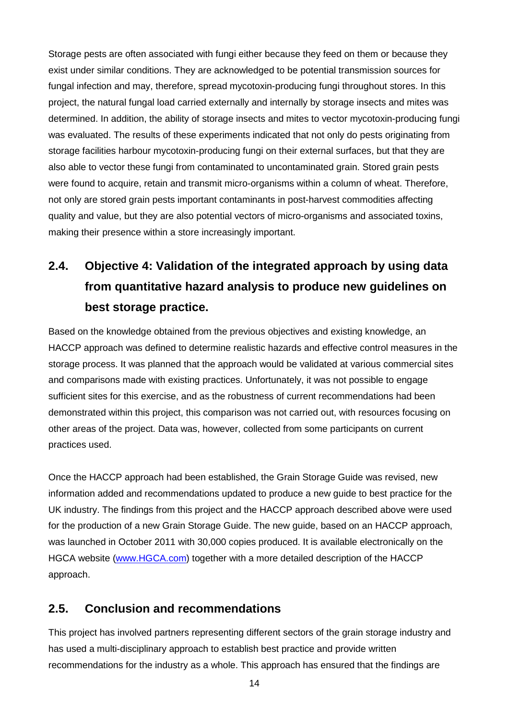Storage pests are often associated with fungi either because they feed on them or because they exist under similar conditions. They are acknowledged to be potential transmission sources for fungal infection and may, therefore, spread mycotoxin-producing fungi throughout stores. In this project, the natural fungal load carried externally and internally by storage insects and mites was determined. In addition, the ability of storage insects and mites to vector mycotoxin-producing fungi was evaluated. The results of these experiments indicated that not only do pests originating from storage facilities harbour mycotoxin-producing fungi on their external surfaces, but that they are also able to vector these fungi from contaminated to uncontaminated grain. Stored grain pests were found to acquire, retain and transmit micro-organisms within a column of wheat. Therefore, not only are stored grain pests important contaminants in post-harvest commodities affecting quality and value, but they are also potential vectors of micro-organisms and associated toxins, making their presence within a store increasingly important.

## **2.4. Objective 4: Validation of the integrated approach by using data from quantitative hazard analysis to produce new guidelines on best storage practice.**

Based on the knowledge obtained from the previous objectives and existing knowledge, an HACCP approach was defined to determine realistic hazards and effective control measures in the storage process. It was planned that the approach would be validated at various commercial sites and comparisons made with existing practices. Unfortunately, it was not possible to engage sufficient sites for this exercise, and as the robustness of current recommendations had been demonstrated within this project, this comparison was not carried out, with resources focusing on other areas of the project. Data was, however, collected from some participants on current practices used.

Once the HACCP approach had been established, the Grain Storage Guide was revised, new information added and recommendations updated to produce a new guide to best practice for the UK industry. The findings from this project and the HACCP approach described above were used for the production of a new Grain Storage Guide. The new guide, based on an HACCP approach, was launched in October 2011 with 30,000 copies produced. It is available electronically on the HGCA website [\(www.HGCA.com\)](http://www.hgca.com/) together with a more detailed description of the HACCP approach.

#### **2.5. Conclusion and recommendations**

This project has involved partners representing different sectors of the grain storage industry and has used a multi-disciplinary approach to establish best practice and provide written recommendations for the industry as a whole. This approach has ensured that the findings are